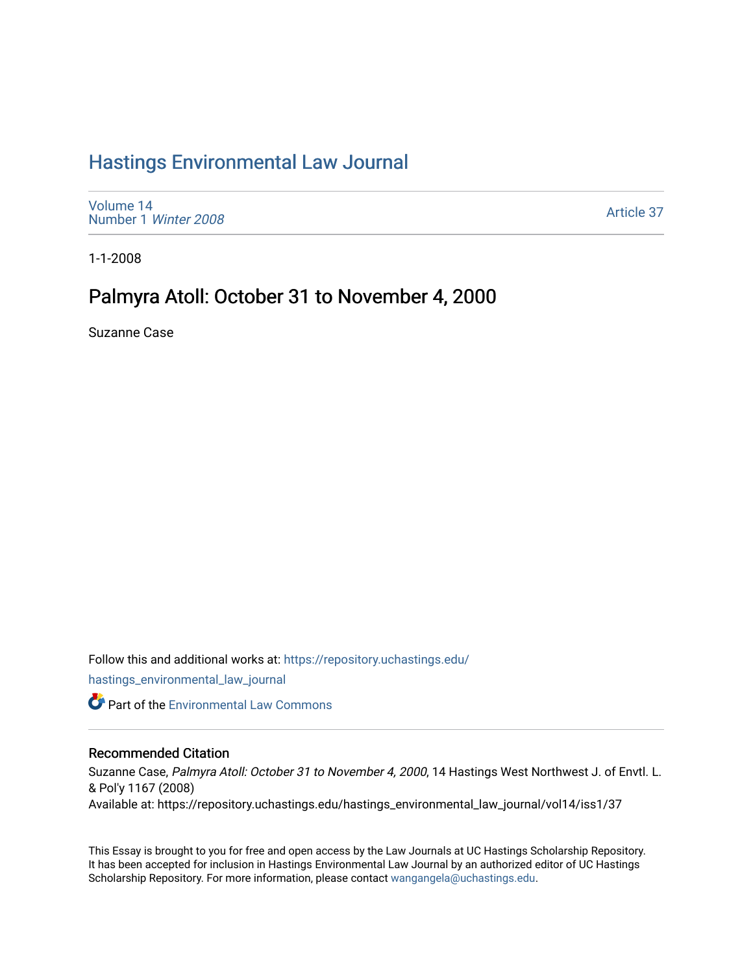# [Hastings Environmental Law Journal](https://repository.uchastings.edu/hastings_environmental_law_journal)

[Volume 14](https://repository.uchastings.edu/hastings_environmental_law_journal/vol14) [Number 1](https://repository.uchastings.edu/hastings_environmental_law_journal/vol14/iss1) Winter 2008

[Article 37](https://repository.uchastings.edu/hastings_environmental_law_journal/vol14/iss1/37) 

1-1-2008

# Palmyra Atoll: October 31 to November 4, 2000

Suzanne Case

Follow this and additional works at: [https://repository.uchastings.edu/](https://repository.uchastings.edu/hastings_environmental_law_journal?utm_source=repository.uchastings.edu%2Fhastings_environmental_law_journal%2Fvol14%2Fiss1%2F37&utm_medium=PDF&utm_campaign=PDFCoverPages)

[hastings\\_environmental\\_law\\_journal](https://repository.uchastings.edu/hastings_environmental_law_journal?utm_source=repository.uchastings.edu%2Fhastings_environmental_law_journal%2Fvol14%2Fiss1%2F37&utm_medium=PDF&utm_campaign=PDFCoverPages) 

**Part of the [Environmental Law Commons](http://network.bepress.com/hgg/discipline/599?utm_source=repository.uchastings.edu%2Fhastings_environmental_law_journal%2Fvol14%2Fiss1%2F37&utm_medium=PDF&utm_campaign=PDFCoverPages)** 

# Recommended Citation

Suzanne Case, Palmyra Atoll: October 31 to November 4, 2000, 14 Hastings West Northwest J. of Envtl. L. & Pol'y 1167 (2008)

Available at: https://repository.uchastings.edu/hastings\_environmental\_law\_journal/vol14/iss1/37

This Essay is brought to you for free and open access by the Law Journals at UC Hastings Scholarship Repository. It has been accepted for inclusion in Hastings Environmental Law Journal by an authorized editor of UC Hastings Scholarship Repository. For more information, please contact [wangangela@uchastings.edu.](mailto:wangangela@uchastings.edu)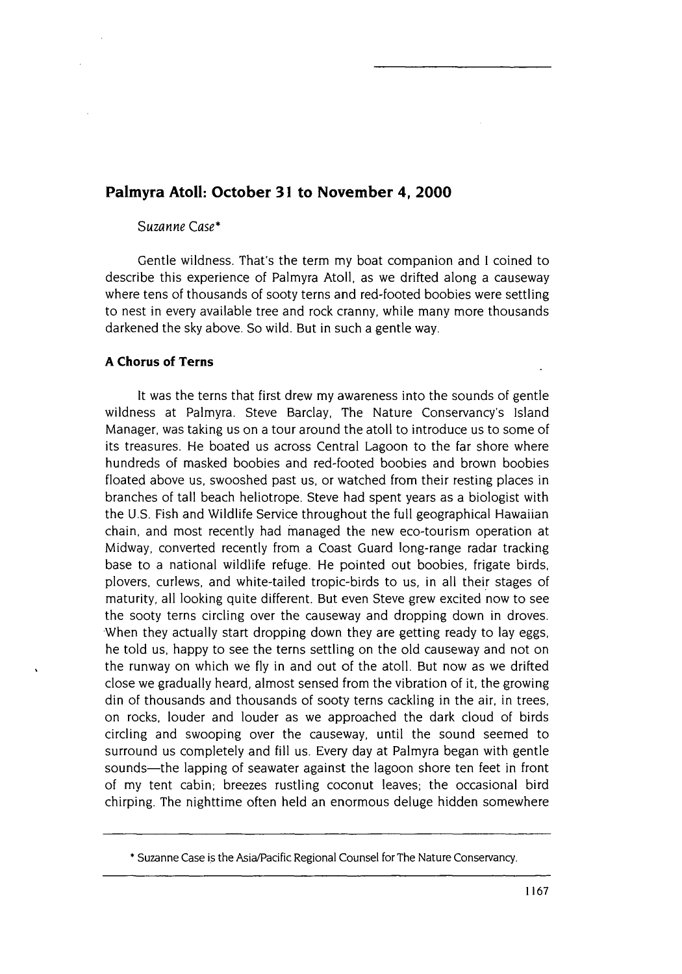# **Palmyra Atoll: October 31 to November 4, 2000**

# Suzanne Case\*

Gentle wildness. That's the term my boat companion and I coined to describe this experience of Palmyra Atoll, as we drifted along a causeway where tens of thousands of sooty terns and red-footed boobies were settling to nest in every available tree and rock cranny, while many more thousands darkened the sky above. So wild. But in such a gentle way.

# **A Chorus of Terns**

It was the terns that first drew my awareness into the sounds of gentle wildness at Palmyra. Steve Barclay, The Nature Conservancy's Island Manager, was taking us on a tour around the atoll to introduce us to some of its treasures. He boated us across Central Lagoon to the far shore where hundreds of masked boobies and red-footed boobies and brown boobies floated above us, swooshed past us, or watched from their resting places in branches of tall beach heliotrope. Steve had spent years as a biologist with the U.S. Fish and Wildlife Service throughout the full geographical Hawaiian chain, and most recently had managed the new eco-tourism operation at Midway, converted recently from a Coast Guard long-range radar tracking base to a national wildlife refuge. He pointed out boobies, frigate birds, plovers, curlews, and white-tailed tropic-birds to us, in all their stages of maturity, all looking quite different. But even Steve grew excited now to see the sooty terns circling over the causeway and dropping down in droves. When they actually start dropping down they are getting ready to lay eggs, he told us, happy to see the terns settling on the old causeway and not on the runway on which we fly in and out of the atoll. But now as we drifted close we gradually heard, almost sensed from the vibration of it, the growing din of thousands and thousands of sooty terns cackling in the air, in trees, on rocks, louder and louder as we approached the dark cloud of birds circling and swooping over the causeway, until the sound seemed to surround us completely and fill us. Every day at Palmyra began with gentle sounds-the lapping of seawater against the lagoon shore ten feet in front of my tent cabin; breezes rustling coconut leaves; the occasional bird chirping. The nighttime often held an enormous deluge hidden somewhere

**<sup>\*</sup>** Suzanne Case is the Asia/Pacific Regional Counsel for The Nature Conservancy.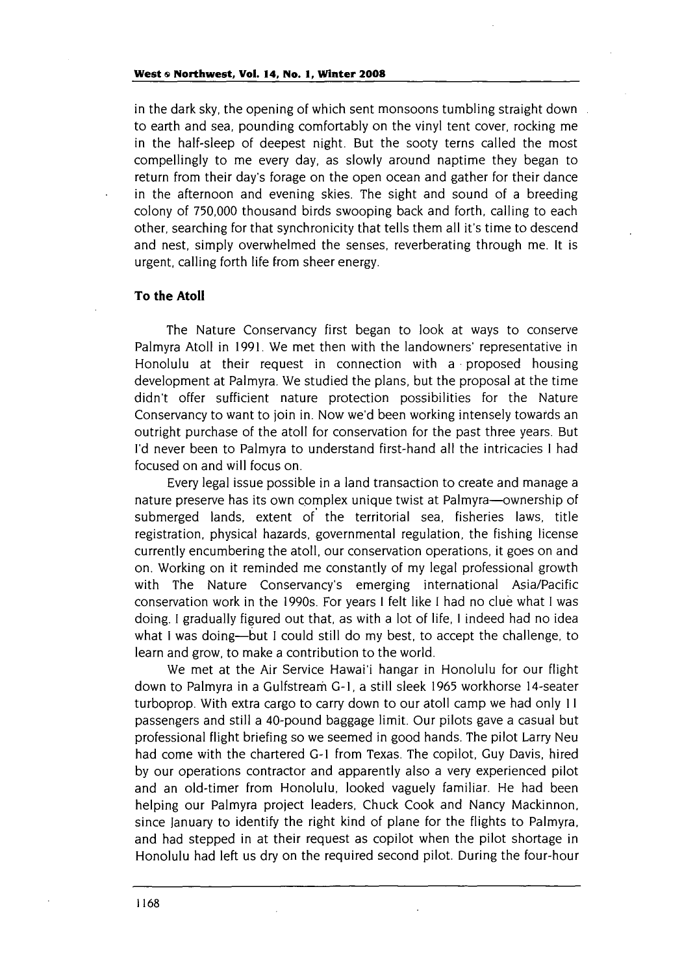in the dark sky, the opening of which sent monsoons tumbling straight down to earth and sea, pounding comfortably on the vinyl tent cover, rocking me in the half-sleep of deepest night. But the sooty terns called the most compellingly to me every day, as slowly around naptime they began to return from their day's forage on the open ocean and gather for their dance in the afternoon and evening skies. The sight and sound of a breeding colony of **750,000** thousand birds swooping back and forth, calling to each other, searching for that synchronicity that tells them all it's time to descend and nest, simply overwhelmed the senses, reverberating through me. It is urgent, calling forth life from sheer energy.

#### **To the Atoll**

The Nature Conservancy first began to look at ways to conserve Palmyra Atoll in 1991. We met then with the landowners' representative in Honolulu at their request in connection with a proposed housing development at Palmyra. We studied the plans, but the proposal at the time didn't offer sufficient nature protection possibilities for the Nature Conservancy to want to join in. Now we'd been working intensely towards an outright purchase of the atoll for conservation for the past three years. But I'd never been to Palmyra to understand first-hand all the intricacies **I** had focused on and will focus on.

Every legal issue possible in a land transaction to create and manage a nature preserve has its own complex unique twist at Palmyra-ownership of submerged lands, extent of the territorial sea, fisheries laws, title registration, physical hazards, governmental regulation, the fishing license currently encumbering the atoll, our conservation operations, it goes on and on. Working on it reminded me constantly of my legal professional growth with The Nature Conservancy's emerging international Asia/Pacific conservation work in the 1990s. For years **I** felt like I had no clue what I was doing. I gradually figured out that, as with a lot of life, **I** indeed had no idea what I was doing—but I could still do my best, to accept the challenge, to learn and grow, to make a contribution to the world.

We met at the Air Service Hawai'i hangar in Honolulu for our flight down to Palmyra in a Gulfstream G-1, a still sleek 1965 workhorse 14-seater turboprop. With extra cargo to carry down to our atoll camp we had only **II** passengers and still a 40-pound baggage limit. Our pilots gave a casual but professional flight briefing so we seemed in good hands. The pilot Larry Neu had come with the chartered **G-I** from Texas. The copilot, Guy Davis, hired by our operations contractor and apparently also a very experienced pilot and an old-timer from Honolulu, looked vaguely familiar. He had been helping our Palmyra project leaders, Chuck Cook and Nancy Mackinnon, since January to identify the right kind of plane for the flights to Palmyra, and had stepped in at their request as copilot when the pilot shortage in Honolulu had left us dry on the required second pilot. During the four-hour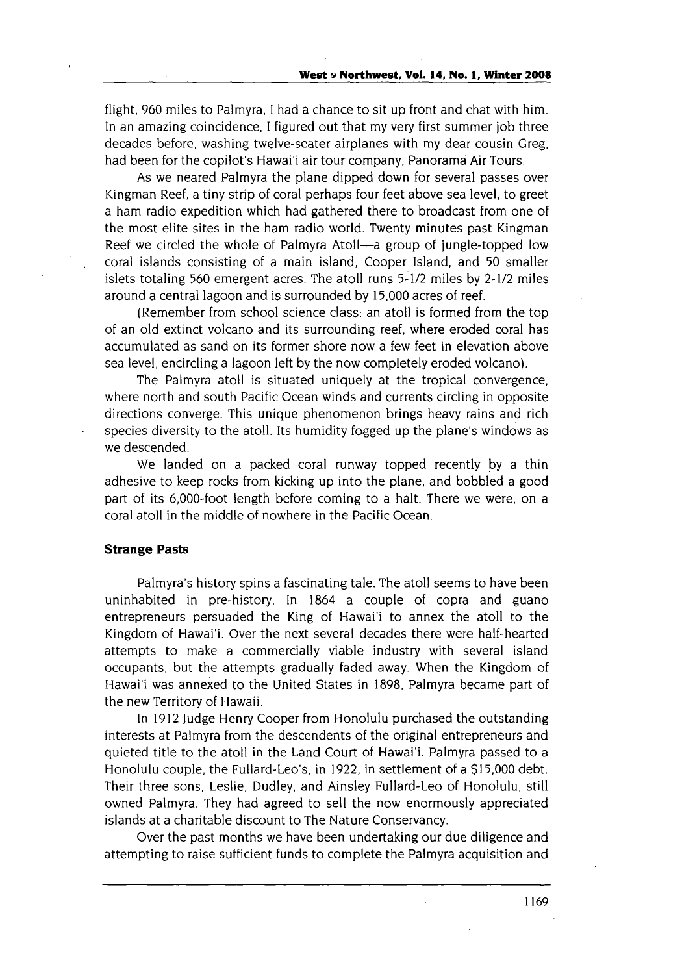flight, 960 miles to Palmyra, I had a chance to sit up front and chat with him. In an amazing coincidence, I figured out that my very first summer job three decades before, washing twelve-seater airplanes with my dear cousin Greg, had been for the copilot's Hawai'i air tour company, Panorama Air Tours.

As we neared Palmyra the plane dipped down for several passes over Kingman Reef, a tiny strip of coral perhaps four feet above sea level, to greet a ham radio expedition which had gathered there to broadcast from one of the most elite sites in the ham radio world. Twenty minutes past Kingman Reef we circled the whole of Palmyra Atoll—a group of jungle-topped low coral islands consisting of a main island, Cooper Island, and **50** smaller islets totaling 560 emergent acres. The atoll runs 5-1/2 miles by 2-1/2 miles around a central lagoon and is surrounded by **15,000** acres of reef.

(Remember from school science class: an atoll is formed from the top of an old extinct volcano and its surrounding reef, where eroded coral has accumulated as sand on its former shore now a few feet in elevation above sea level, encircling a lagoon left by the now completely eroded volcano).

The Palmyra atoll is situated uniquely at the tropical convergence, where north and south Pacific Ocean winds and currents circling in opposite directions converge. This unique phenomenon brings heavy rains and rich species diversity to the atoll. Its humidity fogged up the plane's windows as we descended.

We landed on a packed coral runway topped recently by a thin adhesive to keep rocks from kicking up into the plane, and bobbled a good part of its 6,000-foot length before coming to a halt. There we were, on a coral atoll in the middle of nowhere in the Pacific Ocean.

#### **Strange Pasts**

Palmyra's history spins a fascinating tale. The atoll seems to have been uninhabited in pre-history. In 1864 a couple of copra and guano entrepreneurs persuaded the King of Hawai'i to annex the atoll to the Kingdom of Hawai'i. Over the next several decades there were half-hearted attempts to make a commercially viable industry with several island occupants, but the attempts gradually faded away. When the Kingdom of Hawai'i was annexed to the United States in 1898, Palmyra became part of the new Territory of Hawaii.

In 1912 Judge Henry Cooper from Honolulu purchased the outstanding interests at Palmyra from the descendents of the original entrepreneurs and quieted title to the atoll in the Land Court of Hawai'i. Palmyra passed to a Honolulu couple, the Fullard-Leo's, in 1922, in settlement of a \$15,000 debt. Their three sons, Leslie, Dudley, and Ainsley Fullard-Leo of Honolulu, still owned Palmyra. They had agreed to sell the now enormously appreciated islands at a charitable discount to The Nature Conservancy.

Over the past months we have been undertaking our due diligence and attempting to raise sufficient funds to complete the Palmyra acquisition and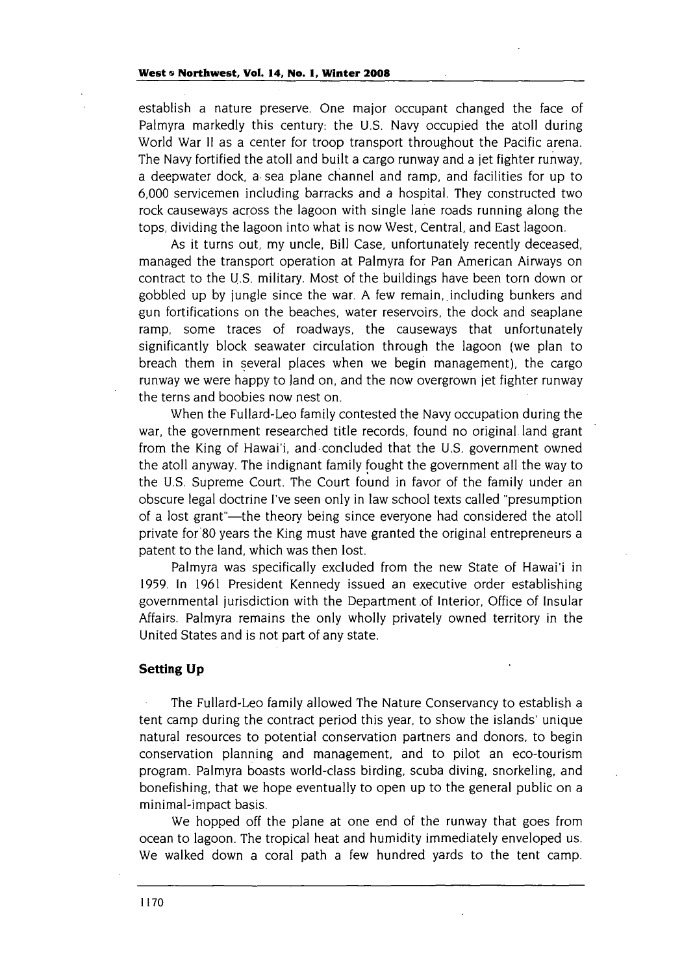establish a nature preserve. One major occupant changed the face of Palmyra markedly this century: the U.S. Navy occupied the atoll during World War II as a center for troop transport throughout the Pacific arena. The Navy fortified the atoll and built a cargo runway and a jet fighter runway, a deepwater dock, a sea plane channel and ramp, and facilities for up to 6,000 servicemen including barracks and a hospital. They constructed two rock causeways across the lagoon with single lane roads running along the tops, dividing the lagoon into what is now West, Central, and East lagoon.

As it turns out, my uncle, Bill Case, unfortunately recently deceased, managed the transport operation at Palmyra for Pan American Airways on contract to the U.S. military. Most of the buildings have been torn down or gobbled up by jungle since the war. A few remain,. including bunkers and gun fortifications on the beaches, water reservoirs, the dock and seaplane ramp, some traces of roadways, the causeways that unfortunately significantly block seawater circulation through the lagoon (we plan to breach them in several places when we begin management), the cargo runway we were happy to land on, and the now overgrown jet fighter runway the terns and boobies now nest on.

When the Fullard-Leo family contested the Navy occupation during the war, the government researched title records, found no original land grant from the King of Hawai'i, and concluded that the U.S. government owned the atoll anyway. The indignant family fought the government all the way to the U.S. Supreme Court. The Court found in favor of the family under an obscure legal doctrine I've seen only in law school texts called "presumption of a lost grant"-the theory being since everyone had considered the atoll private for80 years the King must have granted the original entrepreneurs a patent to the land, which was then lost.

Palmyra was specifically excluded from the new State of Hawai'i in 1959. In 1961 President Kennedy issued an executive order establishing governmental jurisdiction with the Department .of Interior, Office of Insular Affairs. Palmyra remains the only wholly privately owned territory in the United States and is not part of any state.

#### **Setting Up**

The Fullard-Leo family allowed The Nature Conservancy to establish a tent camp during the contract period this year, to show the islands' unique natural resources to potential conservation partners and donors, to begin conservation planning and management, and to pilot an eco-tourism program. Palmyra boasts world-class birding, scuba diving, snorkeling, and bonefishing, that we hope eventually to open up to the general public on a minimal-impact basis.

We hopped off the plane at one end of the runway that goes from ocean to lagoon. The tropical heat and humidity immediately enveloped us. We walked down a coral path a few hundred yards to the tent camp.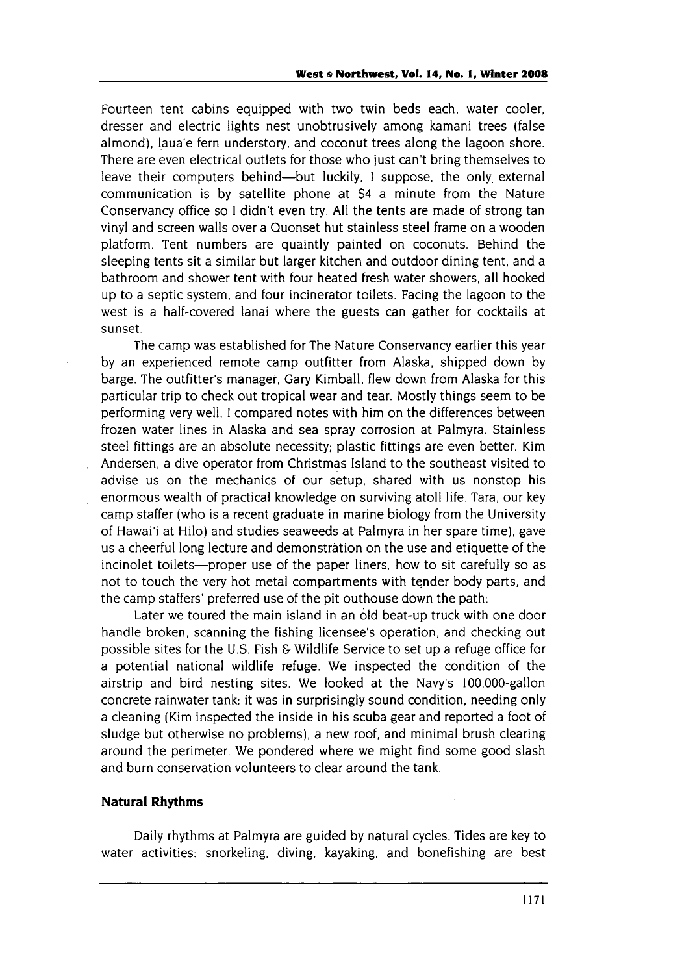Fourteen tent cabins equipped with two twin beds each, water cooler, dresser and electric lights nest unobtrusively among kamani trees (false almond), laua'e fern understory, and coconut trees along the lagoon shore. There are even electrical outlets for those who just can't bring themselves to leave their computers behind-but luckily, I suppose, the only external communication is by satellite phone at \$4 a minute from the Nature Conservancy office so I didn't even try. All the tents are made of strong tan vinyl and screen walls over a Quonset hut stainless steel frame on a wooden platform. Tent numbers are quaintly painted on coconuts. Behind the sleeping tents sit a similar but larger kitchen and outdoor dining tent, and a bathroom and shower tent with four heated fresh water showers, all hooked up to a septic system, and four incinerator toilets. Facing the lagoon to the west is a half-covered lanai where the guests can gather for cocktails at sunset.

The camp was established for The Nature Conservancy earlier this year by an experienced remote camp outfitter from Alaska, shipped down by barge. The outfitter's manager, Gary Kimball, flew down from Alaska for this particular trip to check out tropical wear and tear. Mostly things seem to be performing very well. I compared notes with him on the differences between frozen water lines in Alaska and sea spray corrosion at Palmyra. Stainless steel fittings are an absolute necessity; plastic fittings are even better. Kim Andersen, a dive operator from Christmas Island to the southeast visited to advise us on the mechanics of our setup, shared with us nonstop his enormous wealth of practical knowledge on surviving atoll life. Tara, our key camp staffer (who is a recent graduate in marine biology from the University of Hawai'i at Hilo) and studies seaweeds at Palmyra in her spare time), gave us a cheerful long lecture and demonstration on the use and etiquette of the incinolet toilets-proper use of the paper liners, how to sit carefully so as not to touch the very hot metal compartments with tender body parts, and the camp staffers' preferred use of the pit outhouse down the path:

Later we toured the main island in an old beat-up truck with one door handle broken, scanning the fishing licensee's operation, and checking out possible sites for the U.S. Fish & Wildlife Service to set up a refuge office for a potential national wildlife refuge. We inspected the condition of the airstrip and bird nesting sites. We looked at the Navy's 100,000-gallon concrete rainwater tank: it was in surprisingly sound condition, needing only a cleaning (Kim inspected the inside in his scuba gear and reported a foot of sludge but otherwise no problems), a new roof, and minimal brush clearing around the perimeter. We pondered where we might find some good slash and burn conservation volunteers to clear around the tank.

## **Natural Rhythms**

Daily rhythms at Palmyra are guided by natural cycles. Tides are key to water activities: snorkeling, diving, kayaking, and bonefishing are best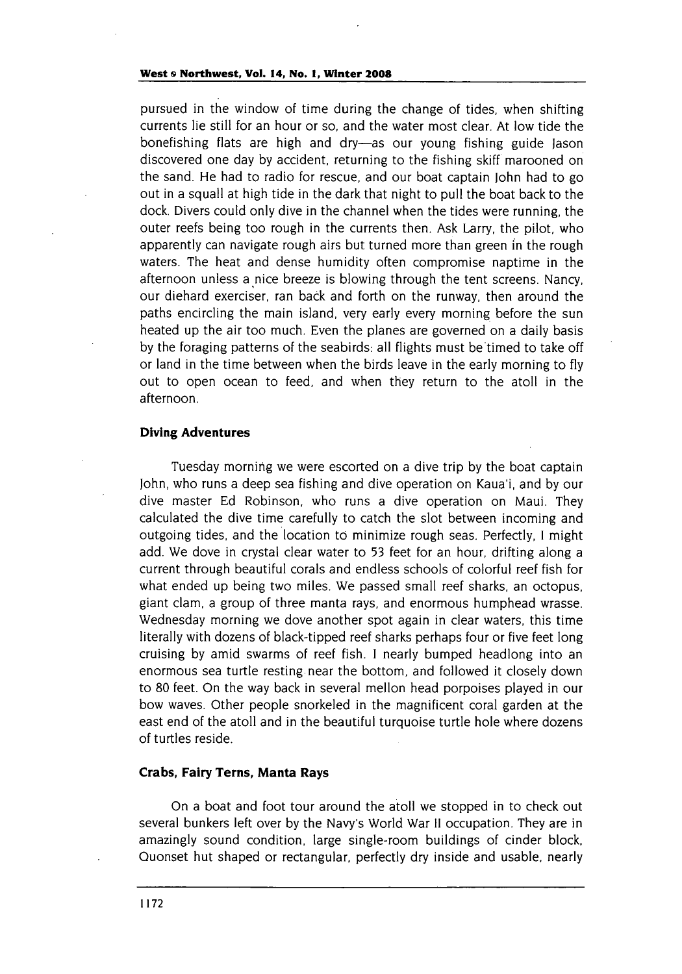pursued in the window of time during the change of tides, when shifting currents lie still for an hour or so, and the water most clear. At low tide the bonefishing flats are high and dry-as our young fishing guide Jason discovered one day by accident, returning to the fishing skiff marooned on the sand. He had to radio for rescue, and our boat captain John had to go out in a squall at high tide in the dark that night to pull the boat back to the dock. Divers could only dive in the channel when the tides were running, the outer reefs being too rough in the currents then. Ask Larry, the pilot, who apparently can navigate rough airs but turned more than green in the rough waters. The heat and dense humidity often compromise naptime in the afternoon unless a nice breeze is blowing through the tent screens. Nancy, our diehard exerciser, ran back and forth on the runway, then around the paths encircling the main island, very early every morning before the sun heated up the air too much. Even the planes are governed on a daily basis by the foraging patterns of the seabirds: all flights must be timed to take off or land in the time between when the birds leave in the early morning to fly out to open ocean to feed, and when they return to the atoll in the afternoon.

#### **Diving Adventures**

Tuesday morning we were escorted on a dive trip by the boat captain John, who runs a deep sea fishing and dive operation on Kaua'i, and by our dive master Ed Robinson, who runs a dive operation on Maui. They calculated the dive time carefully to catch the slot between incoming and outgoing tides, and the location to minimize rough seas. Perfectly, **I** might add. We dove in crystal clear water to 53 feet for an hour, drifting along a current through beautiful corals and endless schools of colorful reef fish for what ended up being two miles. We passed small reef sharks, an octopus, giant clam, a group of three manta rays, and enormous humphead wrasse. Wednesday morning we dove another spot again in clear waters, this time literally with dozens of black-tipped reef sharks perhaps four or five feet long cruising by amid swarms of reef fish. I nearly bumped headlong into an enormous sea turtle resting near the bottom, and followed it closely down to **80** feet. On the way back in several mellon head porpoises played in our bow waves. Other people snorkeled in the magnificent coral garden at the east end of the atoll and in the beautiful turquoise turtle hole where dozens of turtles reside.

## **Crabs, Fairy Terns, Manta Rays**

On a boat and foot tour around the atoll we stopped in to check out several bunkers left over by the Navy's World War **I1** occupation. They are in amazingly sound condition, large single-room buildings of cinder block, Quonset hut shaped or rectangular, perfectly dry inside and usable, nearly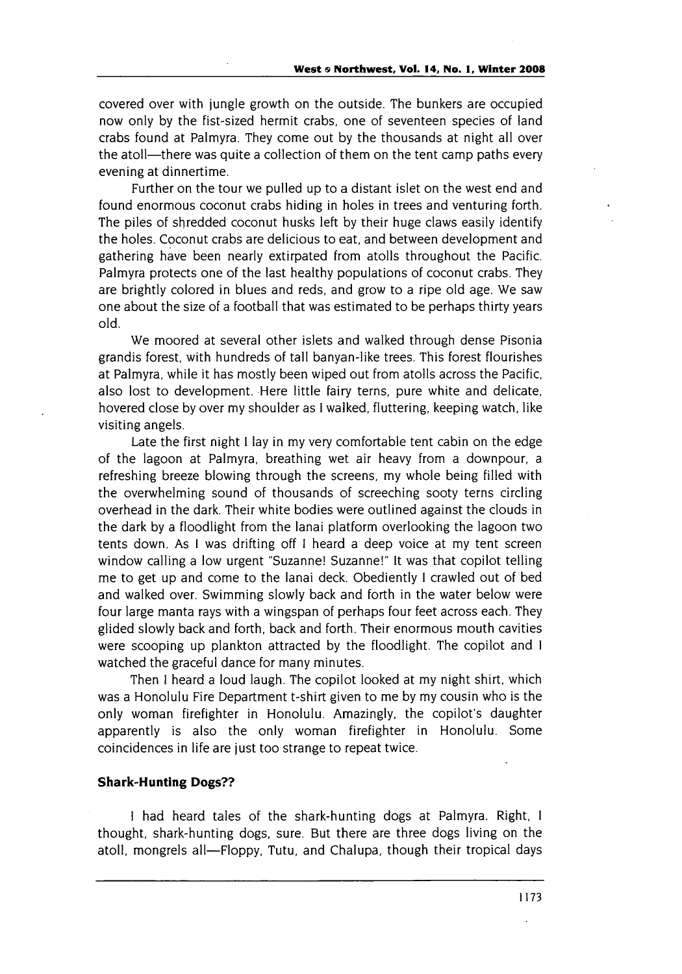covered over with jungle growth on the outside. The bunkers are occupied now only by the fist-sized hermit crabs, one of seventeen species of land crabs found at Palmyra. They come out by the thousands at night all over the atoll—there was quite a collection of them on the tent camp paths every evening at dinnertime.

Further on the tour we pulled up to a distant islet on the west end and found enormous coconut crabs hiding in holes in trees and venturing forth. The piles of shredded coconut husks left by their huge claws easily identify the holes. Coconut crabs are delicious to eat, and between development and gathering have been nearly extirpated from atolls throughout the Pacific. Palmyra protects one of the last healthy populations of coconut crabs. They are brightly colored in blues and reds, and grow to a ripe old age. We saw one about the size of a football that was estimated to be perhaps thirty years old.

We moored at several other islets and walked through dense Pisonia grandis forest, with hundreds of tall banyan-like trees. This forest flourishes at Palmyra, while it has mostly been wiped out from atolls across the Pacific, also lost to development. Here little fairy terns, pure white and delicate, hovered close by over my shoulder as I walked, fluttering, keeping watch, like visiting angels.

Late the first night **I** lay in my very comfortable tent cabin on the edge of the lagoon at Palmyra, breathing wet air heavy from a downpour, a refreshing breeze blowing through the screens, my whole being filled with the overwhelming sound of thousands of screeching sooty terns circling overhead in the dark. Their white bodies were outlined against the clouds in the dark by a floodlight from the lanai platform overlooking the lagoon two tents down. As **I** was drifting off **I** heard a deep voice at my tent screen window calling a low urgent "Suzanne! Suzanne!" It was that copilot telling me to get up and come to the lanai deck. Obediently **I** crawled out of bed and walked over. Swimming slowly back and forth in the water below were four large manta rays with a wingspan of perhaps four feet across each. They glided slowly back and forth, back and forth. Their enormous mouth cavities were scooping up plankton attracted by the floodlight. The copilot and **I** watched the graceful dance for many minutes.

Then **I** heard a loud laugh. The copilot looked at my night shirt, which was a Honolulu Fire Department t-shirt given to me by my cousin who is the only woman firefighter in Honolulu. Amazingly, the copilot's daughter apparently is also the only woman firefighter in Honolulu. Some coincidences in life are just too strange to repeat twice.

### **Shark-Hunting Dogs??**

**I** had heard tales of the shark-hunting dogs at Palmyra. Right, I thought, shark-hunting dogs, sure. But there are three dogs living on the atoll, mongrels all—Floppy, Tutu, and Chalupa, though their tropical days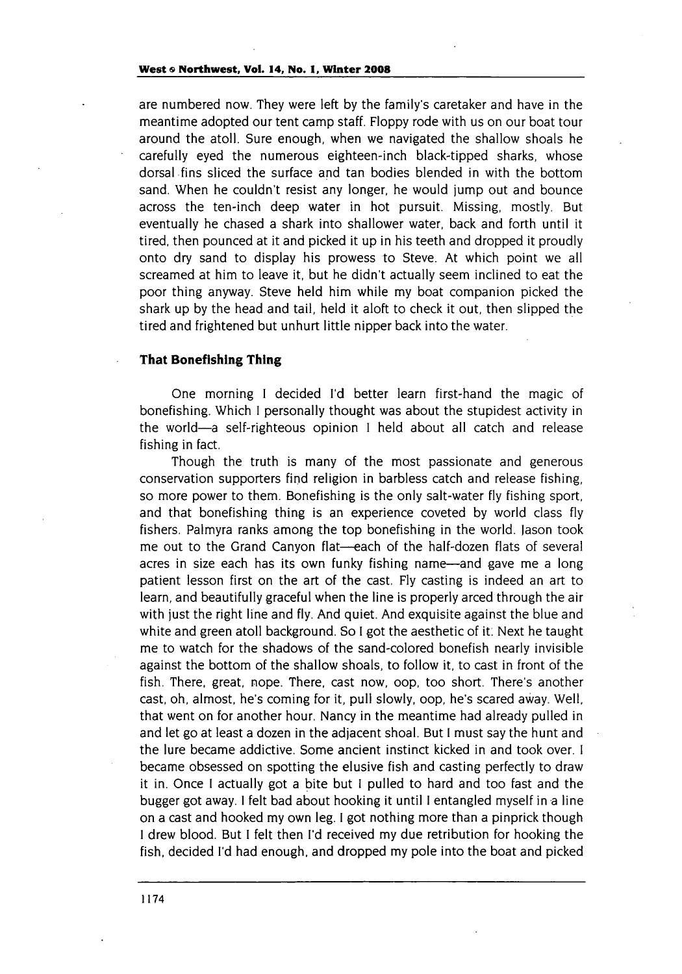#### **West & Northwest, Vol. 14, No. 1, Winter 2008**

are numbered now. They were left by the family's caretaker and have in the meantime adopted our tent camp staff. Floppy rode with us on our boat tour around the atoll. Sure enough, when we navigated the shallow shoals he carefully eyed the numerous eighteen-inch black-tipped sharks, whose dorsal fins sliced the surface and tan bodies blended in with the bottom sand. When he couldn't resist any longer, he would jump out and bounce across the ten-inch deep water in hot pursuit. Missing, mostly. But eventually he chased a shark into shallower water, back and forth until it tired, then pounced at it and picked it up in his teeth and dropped it proudly onto dry sand to display his prowess to Steve. At which point we all screamed at him to leave it, but he didn't actually seem inclined to eat the poor thing anyway. Steve held him while my boat companion picked the shark up by the head and tail, held it aloft to check it out, then slipped the tired and frightened but unhurt little nipper back into the water.

### **That Bonefishing Thing**

One morning I decided **I'd** better learn first-hand the magic of bonefishing. Which I personally thought was about the stupidest activity in the world-a self-righteous opinion I held about all catch and release fishing in fact.

Though the truth is many of the most passionate and generous conservation supporters find religion in barbless catch and release fishing, so more power to them. Bonefishing is the only salt-water fly fishing sport, and that bonefishing thing is an experience coveted by world class fly fishers. Palmyra ranks among the top bonefishing in the world. Jason took me out to the Grand Canyon flat-each of the half-dozen flats of several acres in size each has its own funky fishing name—and gave me a long patient lesson first on the art of the cast. Fly casting is indeed an art to learn, and beautifully graceful when the line is properly arced through the air with just the right line and fly. And quiet. And exquisite against the blue and white and green atoll background. So **I** got the aesthetic of it. Next he taught me to watch for the shadows of the sand-colored bonefish nearly invisible against the bottom of the shallow shoals, to follow it, to cast in front of the fish. There, great, nope. There, cast now, oop, too short. There's another cast, oh, almost, he's coming for it, pull slowly, oop, he's scared away. Well, that went on for another hour. Nancy in the meantime had already pulled in and let go at least a dozen in the adjacent shoal. But I must say the hunt and the lure became addictive. Some ancient instinct kicked in and took over. I became obsessed on spotting the elusive fish and casting perfectly to draw it in. Once **I** actually got a bite but I pulled to hard and too fast and the bugger got away. **I** felt bad about hooking it until I entangled myself in a line on a cast and hooked my own leg. I got nothing more than a pinprick though I drew blood. But I felt then **I'd** received my due retribution for hooking the fish, decided **I'd** had enough, and dropped my pole into the boat and picked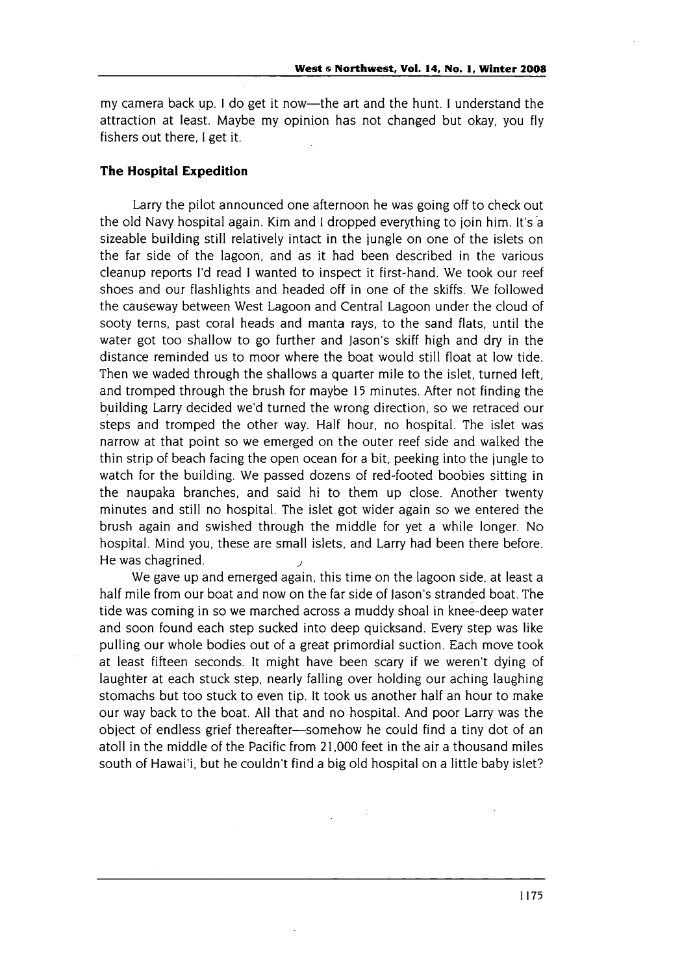my camera back up. **I** do get it now-the art and the hunt. I understand the attraction at least. Maybe my opinion has not changed but okay, you fly fishers out there, I get it.

#### **The Hospital Expedition**

Larry the pilot announced one afternoon he was going off to check out the old Navy hospital again. Kim and **I** dropped everything to join him. It's a sizeable building still relatively intact in the jungle on one of the islets on the far side of the lagoon, and as it had been described in the various cleanup reports **I'd** read I wanted to inspect it first-hand. We took our reef shoes and our flashlights and headed off in one of the skiffs. We followed the causeway between West Lagoon and Central Lagoon under the cloud of sooty terns, past coral heads and manta rays, to the sand flats, until the water got too shallow to go further and Jason's skiff high and dry in the distance reminded us to moor where the boat would still float at low tide. Then we waded through the shallows a quarter mile to the islet, turned left, and tromped through the brush for maybe 15 minutes. After not finding the building Larry decided we'd turned the wrong direction, so we retraced our steps and tromped the other way. Half hour, no hospital. The islet was narrow at that point so we emerged on the outer reef side and walked the thin strip of beach facing the open ocean for a bit, peeking into the jungle to watch for the building. We passed dozens of red-footed boobies sitting in the naupaka branches, and said hi to them up close. Another twenty minutes and still no hospital. The islet got wider again so we entered the brush again and swished through the middle for yet a while longer. No hospital. Mind you, these are small islets, and Larry had been there before. He was chagrined.

We gave up and emerged again, this time on the lagoon side, at least a half mile from our boat and now on the far side of Jason's stranded boat. The tide was coming in so we marched across a muddy shoal in knee-deep water and soon found each step sucked into deep quicksand. Every step was like pulling our whole bodies out of a great primordial suction. Each move took at least fifteen seconds. It might have been scary if we weren't dying of laughter at each stuck step, nearly falling over holding our aching laughing stomachs but too stuck to even tip. It took us another half an hour to make our way back to the boat. All that and no hospital. And poor Larry was the object of endless grief thereafter-somehow he could find a tiny dot of an atoll in the middle of the Pacific from **21,000** feet in the air a thousand miles south of Hawai'i, but he couldn't find a big old hospital on a little baby islet?

1175